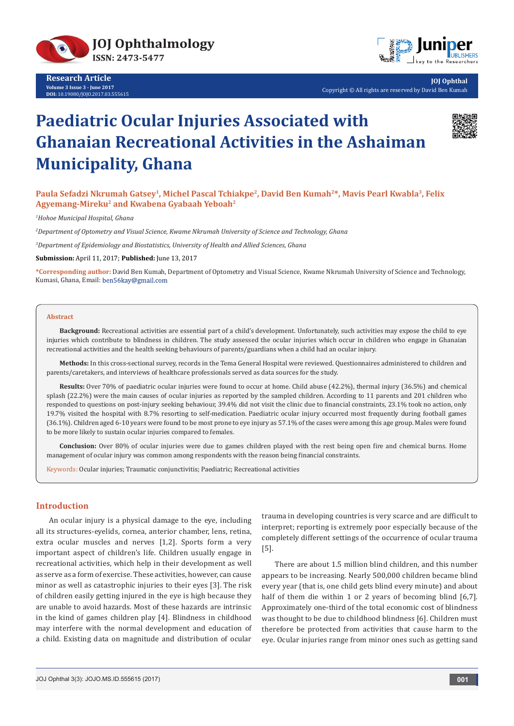

**Research Article Volume 3 Issue 3 - June 2017 DOI:** [10.19080/JOJO.2017.03.555615](http://dx.doi.org/10.19080/JOJO.2017.03.555615)



**JOJ Ophthal** Copyright © All rights are reserved by David Ben Kumah

# **Paediatric Ocular Injuries Associated with Ghanaian Recreational Activities in the Ashaiman Municipality, Ghana**



**Paula Sefadzi Nkrumah Gatsey1, Michel Pascal Tchiakpe2, David Ben Kumah2\*, Mavis Pearl Kwabla3, Felix Agyemang-Mireku2 and Kwabena Gyabaah Yeboah2** 

*1 Hohoe Municipal Hospital, Ghana*

*2 Department of Optometry and Visual Science, Kwame Nkrumah University of Science and Technology, Ghana*

*3 Department of Epidemiology and Biostatistics, University of Health and Allied Sciences, Ghana*

**Submission:** April 11, 2017; **Published:** June 13, 2017

**\*Corresponding author:** David Ben Kumah, Department of Optometry and Visual Science, Kwame Nkrumah University of Science and Technology, Kumasi, Ghana, Email: ben56kay@gmail.com

#### **Abstract**

**Background:** Recreational activities are essential part of a child's development. Unfortunately, such activities may expose the child to eye injuries which contribute to blindness in children. The study assessed the ocular injuries which occur in children who engage in Ghanaian recreational activities and the health seeking behaviours of parents/guardians when a child had an ocular injury.

**Methods:** In this cross-sectional survey, records in the Tema General Hospital were reviewed. Questionnaires administered to children and parents/caretakers, and interviews of healthcare professionals served as data sources for the study.

**Results:** Over 70% of paediatric ocular injuries were found to occur at home. Child abuse (42.2%), thermal injury (36.5%) and chemical splash (22.2%) were the main causes of ocular injuries as reported by the sampled children. According to 11 parents and 201 children who responded to questions on post-injury seeking behaviour, 39.4% did not visit the clinic due to financial constraints, 23.1% took no action, only 19.7% visited the hospital with 8.7% resorting to self-medication. Paediatric ocular injury occurred most frequently during football games (36.1%). Children aged 6-10 years were found to be most prone to eye injury as 57.1% of the cases were among this age group. Males were found to be more likely to sustain ocular injuries compared to females.

**Conclusion:** Over 80% of ocular injuries were due to games children played with the rest being open fire and chemical burns. Home management of ocular injury was common among respondents with the reason being financial constraints.

Keywords: Ocular injuries; Traumatic conjunctivitis; Paediatric; Recreational activities

## **Introduction**

An ocular injury is a physical damage to the eye, including all its structures-eyelids, cornea, anterior chamber, lens, retina, extra ocular muscles and nerves [1,2]. Sports form a very important aspect of children's life. Children usually engage in recreational activities, which help in their development as well as serve as a form of exercise. These activities, however, can cause minor as well as catastrophic injuries to their eyes [3]. The risk of children easily getting injured in the eye is high because they are unable to avoid hazards. Most of these hazards are intrinsic in the kind of games children play [4]. Blindness in childhood may interfere with the normal development and education of a child. Existing data on magnitude and distribution of ocular

trauma in developing countries is very scarce and are difficult to interpret; reporting is extremely poor especially because of the completely different settings of the occurrence of ocular trauma [5].

There are about 1.5 million blind children, and this number appears to be increasing. Nearly 500,000 children became blind every year (that is, one child gets blind every minute) and about half of them die within 1 or 2 years of becoming blind [6,7]. Approximately one-third of the total economic cost of blindness was thought to be due to childhood blindness [6]. Children must therefore be protected from activities that cause harm to the eye. Ocular injuries range from minor ones such as getting sand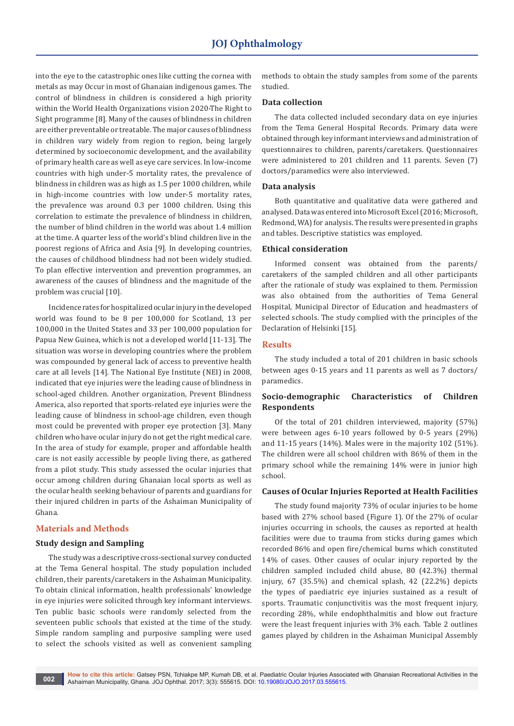into the eye to the catastrophic ones like cutting the cornea with metals as may Occur in most of Ghanaian indigenous games. The control of blindness in children is considered a high priority within the World Health Organizations vision 2020-The Right to Sight programme [8]. Many of the causes of blindness in children are either preventable or treatable. The major causes of blindness in children vary widely from region to region, being largely determined by socioeconomic development, and the availability of primary health care as well as eye care services. In low-income countries with high under-5 mortality rates, the prevalence of blindness in children was as high as 1.5 per 1000 children, while in high-income countries with low under-5 mortality rates, the prevalence was around 0.3 per 1000 children. Using this correlation to estimate the prevalence of blindness in children, the number of blind children in the world was about 1.4 million at the time. A quarter less of the world's blind children live in the poorest regions of Africa and Asia [9]. In developing countries, the causes of childhood blindness had not been widely studied. To plan effective intervention and prevention programmes, an awareness of the causes of blindness and the magnitude of the problem was crucial [10].

Incidence rates for hospitalized ocular injury in the developed world was found to be 8 per 100,000 for Scotland, 13 per 100,000 in the United States and 33 per 100,000 population for Papua New Guinea, which is not a developed world [11-13]. The situation was worse in developing countries where the problem was compounded by general lack of access to preventive health care at all levels [14]. The National Eye Institute (NEI) in 2008, indicated that eye injuries were the leading cause of blindness in school-aged children. Another organization, Prevent Blindness America, also reported that sports-related eye injuries were the leading cause of blindness in school-age children, even though most could be prevented with proper eye protection [3]. Many children who have ocular injury do not get the right medical care. In the area of study for example, proper and affordable health care is not easily accessible by people living there, as gathered from a pilot study. This study assessed the ocular injuries that occur among children during Ghanaian local sports as well as the ocular health seeking behaviour of parents and guardians for their injured children in parts of the Ashaiman Municipality of Ghana.

## **Materials and Methods**

## **Study design and Sampling**

The study was a descriptive cross-sectional survey conducted at the Tema General hospital. The study population included children, their parents/caretakers in the Ashaiman Municipality. To obtain clinical information, health professionals' knowledge in eye injuries were solicited through key informant interviews. Ten public basic schools were randomly selected from the seventeen public schools that existed at the time of the study. Simple random sampling and purposive sampling were used to select the schools visited as well as convenient sampling

methods to obtain the study samples from some of the parents studied.

## **Data collection**

The data collected included secondary data on eye injuries from the Tema General Hospital Records. Primary data were obtained through key informant interviews and administration of questionnaires to children, parents/caretakers. Questionnaires were administered to 201 children and 11 parents. Seven (7) doctors/paramedics were also interviewed.

#### **Data analysis**

Both quantitative and qualitative data were gathered and analysed. Data was entered into Microsoft Excel (2016; Microsoft, Redmond, WA) for analysis. The results were presented in graphs and tables. Descriptive statistics was employed.

## **Ethical consideration**

Informed consent was obtained from the parents/ caretakers of the sampled children and all other participants after the rationale of study was explained to them. Permission was also obtained from the authorities of Tema General Hospital, Municipal Director of Education and headmasters of selected schools. The study complied with the principles of the Declaration of Helsinki [15].

## **Results**

The study included a total of 201 children in basic schools between ages 0-15 years and 11 parents as well as 7 doctors/ paramedics.

## **Socio-demographic Characteristics of Children Respondents**

Of the total of 201 children interviewed, majority (57%) were between ages 6-10 years followed by 0-5 years (29%) and 11-15 years (14%). Males were in the majority 102 (51%). The children were all school children with 86% of them in the primary school while the remaining 14% were in junior high school.

#### **Causes of Ocular Injuries Reported at Health Facilities**

The study found majority 73% of ocular injuries to be home based with 27% school based (Figure 1). Of the 27% of ocular injuries occurring in schools, the causes as reported at health facilities were due to trauma from sticks during games which recorded 86% and open fire/chemical burns which constituted 14% of cases. Other causes of ocular injury reported by the children sampled included child abuse, 80 (42.3%) thermal injury, 67 (35.5%) and chemical splash, 42 (22.2%) depicts the types of paediatric eye injuries sustained as a result of sports. Traumatic conjunctivitis was the most frequent injury, recording 28%, while endophthalmitis and blow out fracture were the least frequent injuries with 3% each. Table 2 outlines games played by children in the Ashaiman Municipal Assembly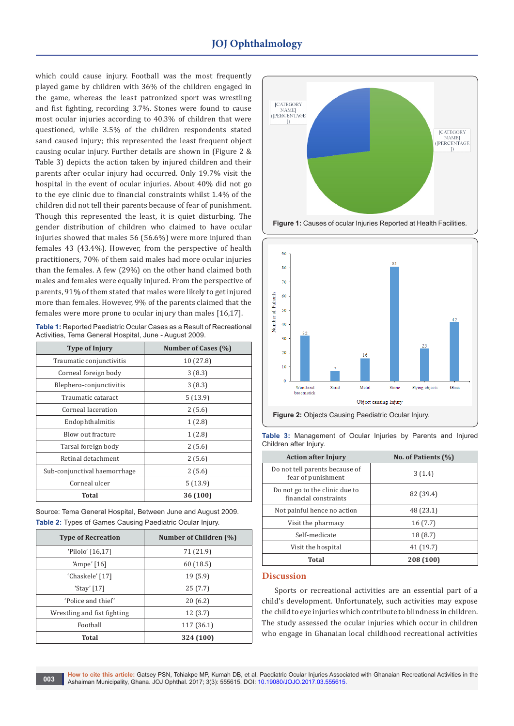## **JOJ Ophthalmology**

which could cause injury. Football was the most frequently played game by children with 36% of the children engaged in the game, whereas the least patronized sport was wrestling and fist fighting, recording 3.7%. Stones were found to cause most ocular injuries according to 40.3% of children that were questioned, while 3.5% of the children respondents stated sand caused injury; this represented the least frequent object causing ocular injury. Further details are shown in (Figure 2 & Table 3) depicts the action taken by injured children and their parents after ocular injury had occurred. Only 19.7% visit the hospital in the event of ocular injuries. About 40% did not go to the eye clinic due to financial constraints whilst 1.4% of the children did not tell their parents because of fear of punishment. Though this represented the least, it is quiet disturbing. The gender distribution of children who claimed to have ocular injuries showed that males 56 (56.6%) were more injured than females 43 (43.4%). However, from the perspective of health practitioners, 70% of them said males had more ocular injuries than the females. A few (29%) on the other hand claimed both males and females were equally injured. From the perspective of parents, 91% of them stated that males were likely to get injured more than females. However, 9% of the parents claimed that the females were more prone to ocular injury than males [16,17].

**Table 1:** Reported Paediatric Ocular Cases as a Result of Recreational Activities, Tema General Hospital, June - August 2009.

| <b>Type of Injury</b>        | Number of Cases (%) |
|------------------------------|---------------------|
| Traumatic conjunctivitis     | 10 (27.8)           |
| Corneal foreign body         | 3(8.3)              |
| Blephero-conjunctivitis      | 3(8.3)              |
| Traumatic cataract           | 5(13.9)             |
| Corneal laceration           | 2(5.6)              |
| Endophthalmitis              | 1(2.8)              |
| Blow out fracture            | 1(2.8)              |
| Tarsal foreign body          | 2(5.6)              |
| Retinal detachment           | 2(5.6)              |
| Sub-conjunctival haemorrhage | 2(5.6)              |
| Corneal ulcer                | 5(13.9)             |
| Total                        | 36 (100)            |

Source: Tema General Hospital, Between June and August 2009. **Table 2:** Types of Games Causing Paediatric Ocular Injury.

| <b>Type of Recreation</b>   | Number of Children (%) |
|-----------------------------|------------------------|
| 'Pilolo' [16,17]            | 71 (21.9)              |
| 'Ampe' $[16]$               | 60(18.5)               |
| 'Chaskele' [17]             | 19(5.9)                |
| 'Stay' $[17]$               | 25(7.7)                |
| 'Police and thief'          | 20(6.2)                |
| Wrestling and fist fighting | 12(3.7)                |
| Football                    | 117 (36.1)             |
| <b>Total</b>                | 324 (100)              |



**Figure 1:** Causes of ocular Injuries Reported at Health Facilities.



**Figure 2:** Objects Causing Paediatric Ocular Injury.

| <b>Action after Injury</b>                              | No. of Patients (%) |
|---------------------------------------------------------|---------------------|
| Do not tell parents because of<br>fear of punishment    | 3(1.4)              |
| Do not go to the clinic due to<br>financial constraints | 82 (39.4)           |
| Not painful hence no action                             | 48 (23.1)           |
| Visit the pharmacy                                      | 16(7.7)             |
| Self-medicate                                           | 18 (8.7)            |
| Visit the hospital                                      | 41 (19.7)           |
| Total                                                   | 208 (100)           |

**Table 3:** Management of Ocular Injuries by Parents and Injured Children after Injury.

#### **Discussion**

Sports or recreational activities are an essential part of a child's development. Unfortunately, such activities may expose the child to eye injuries which contribute to blindness in children. The study assessed the ocular injuries which occur in children who engage in Ghanaian local childhood recreational activities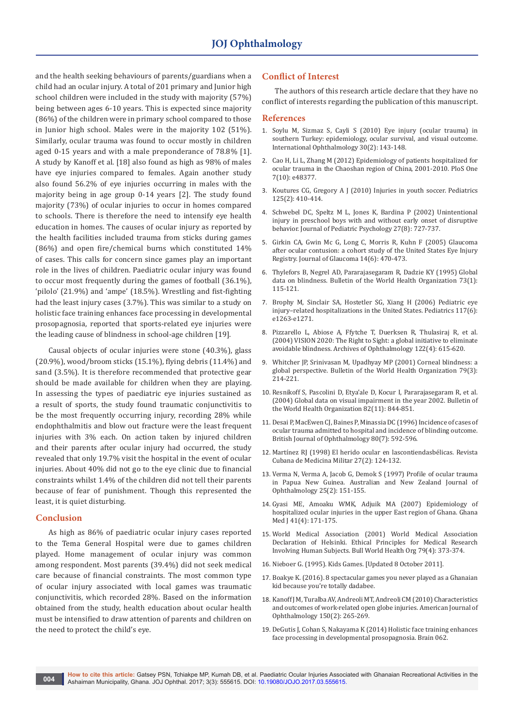and the health seeking behaviours of parents/guardians when a child had an ocular injury. A total of 201 primary and Junior high school children were included in the study with majority (57%) being between ages 6-10 years. This is expected since majority (86%) of the children were in primary school compared to those in Junior high school. Males were in the majority 102 (51%). Similarly, ocular trauma was found to occur mostly in children aged 0-15 years and with a male preponderance of 78.8% [1]. A study by Kanoff et al. [18] also found as high as 98% of males have eye injuries compared to females. Again another study also found 56.2% of eye injuries occurring in males with the majority being in age group 0-14 years [2]. The study found majority (73%) of ocular injuries to occur in homes compared to schools. There is therefore the need to intensify eye health education in homes. The causes of ocular injury as reported by the health facilities included trauma from sticks during games (86%) and open fire/chemical burns which constituted 14% of cases. This calls for concern since games play an important role in the lives of children. Paediatric ocular injury was found to occur most frequently during the games of football (36.1%), 'pilolo' (21.9%) and 'ampe' (18.5%). Wrestling and fist-fighting had the least injury cases (3.7%). This was similar to a study on holistic face training enhances face processing in developmental prosopagnosia, reported that sports-related eye injuries were the leading cause of blindness in school-age children [19].

Causal objects of ocular injuries were stone (40.3%), glass (20.9%), wood/broom sticks (15.1%), flying debris (11.4%) and sand (3.5%). It is therefore recommended that protective gear should be made available for children when they are playing. In assessing the types of paediatric eye injuries sustained as a result of sports, the study found traumatic conjunctivitis to be the most frequently occurring injury, recording 28% while endophthalmitis and blow out fracture were the least frequent injuries with 3% each. On action taken by injured children and their parents after ocular injury had occurred, the study revealed that only 19.7% visit the hospital in the event of ocular injuries. About 40% did not go to the eye clinic due to financial constraints whilst 1.4% of the children did not tell their parents because of fear of punishment. Though this represented the least, it is quiet disturbing.

### **Conclusion**

As high as 86% of paediatric ocular injury cases reported to the Tema General Hospital were due to games children played. Home management of ocular injury was common among respondent. Most parents (39.4%) did not seek medical care because of financial constraints. The most common type of ocular injury associated with local games was traumatic conjunctivitis, which recorded 28%. Based on the information obtained from the study, health education about ocular health must be intensified to draw attention of parents and children on the need to protect the child's eye.

#### **Conflict of Interest**

The authors of this research article declare that they have no conflict of interests regarding the publication of this manuscript.

### **References**

- 1. [Soylu M, Sizmaz S, Cayli S \(2010\) Eye injury \(ocular trauma\) in](https://www.ncbi.nlm.nih.gov/pubmed/19190858)  [southern Turkey: epidemiology, ocular survival, and visual outcome.](https://www.ncbi.nlm.nih.gov/pubmed/19190858)  [International Ophthalmology 30\(2\): 143-148.](https://www.ncbi.nlm.nih.gov/pubmed/19190858)
- 2. [Cao H, Li L, Zhang M \(2012\) Epidemiology of patients hospitalized for](https://www.ncbi.nlm.nih.gov/pubmed/23118997)  [ocular trauma in the Chaoshan region of China, 2001-2010. PloS One](https://www.ncbi.nlm.nih.gov/pubmed/23118997)  [7\(10\): e48377.](https://www.ncbi.nlm.nih.gov/pubmed/23118997)
- 3. [Koutures CG, Gregory A J \(2010\) Injuries in youth soccer. Pediatrics](https://www.ncbi.nlm.nih.gov/pubmed/20100755)  [125\(2\): 410-414.](https://www.ncbi.nlm.nih.gov/pubmed/20100755)
- 4. [Schwebel DC, Speltz M L, Jones K, Bardina P \(2002\) Unintentional](https://www.ncbi.nlm.nih.gov/pubmed/12403863)  [injury in preschool boys with and without early onset of disruptive](https://www.ncbi.nlm.nih.gov/pubmed/12403863)  [behavior. Journal of Pediatric Psychology 27\(8\): 727-737.](https://www.ncbi.nlm.nih.gov/pubmed/12403863)
- 5. [Girkin CA, Gwin Mc G, Long C, Morris R, Kuhn F \(2005\) Glaucoma](https://www.ncbi.nlm.nih.gov/pubmed/16276279)  [after ocular contusion: a cohort study of the United States Eye Injury](https://www.ncbi.nlm.nih.gov/pubmed/16276279)  [Registry. Journal of Glaucoma 14\(6\): 470-473.](https://www.ncbi.nlm.nih.gov/pubmed/16276279)
- 6. [Thylefors B, Negrel AD, Pararajasegaram R, Dadzie KY \(1995\) Global](https://www.ncbi.nlm.nih.gov/pubmed/7704921)  [data on blindness. Bulletin of the World Health Organization 73\(1\):](https://www.ncbi.nlm.nih.gov/pubmed/7704921)  [115-121.](https://www.ncbi.nlm.nih.gov/pubmed/7704921)
- 7. [Brophy M, Sinclair SA, Hostetler SG, Xiang H \(2006\) Pediatric eye](https://www.ncbi.nlm.nih.gov/pubmed/16740824)  [injury–related hospitalizations in the United States. Pediatrics 117\(6\):](https://www.ncbi.nlm.nih.gov/pubmed/16740824)  [e1263-e1271.](https://www.ncbi.nlm.nih.gov/pubmed/16740824)
- 8. [Pizzarello L, Abiose A, Ffytche T, Duerksen R, Thulasiraj R, et al.](https://www.ncbi.nlm.nih.gov/pubmed/15078680)  [\(2004\) VISION 2020: The Right to Sight: a global initiative to eliminate](https://www.ncbi.nlm.nih.gov/pubmed/15078680)  [avoidable blindness. Archives of Ophthalmology 122\(4\): 615-620.](https://www.ncbi.nlm.nih.gov/pubmed/15078680)
- 9. [Whitcher JP, Srinivasan M, Upadhyay MP \(2001\) Corneal blindness: a](https://www.ncbi.nlm.nih.gov/pubmed/11285665)  [global perspective. Bulletin of the World Health Organization 79\(3\):](https://www.ncbi.nlm.nih.gov/pubmed/11285665)  [214-221.](https://www.ncbi.nlm.nih.gov/pubmed/11285665)
- 10. [Resnikoff S, Pascolini D, Etya'ale D, Kocur I, Pararajasegaram R, et al.](https://www.ncbi.nlm.nih.gov/pubmed/15640920)  [\(2004\) Global data on visual impairment in the year 2002. Bulletin of](https://www.ncbi.nlm.nih.gov/pubmed/15640920)  [the World Health Organization 82\(11\): 844-851.](https://www.ncbi.nlm.nih.gov/pubmed/15640920)
- 11. [Desai P, MacEwen CJ, Baines P, Minassia DC \(1996\) Incidence of cases of](https://www.ncbi.nlm.nih.gov/pubmed/8795369)  [ocular trauma admitted to hospital and incidence of blinding outcome.](https://www.ncbi.nlm.nih.gov/pubmed/8795369)  [British Journal of Ophthalmology 80\(7\): 592-596.](https://www.ncbi.nlm.nih.gov/pubmed/8795369)
- 12. [Martínez RJ \(1998\) El herido ocular en lascontiendasbélicas. Revista](http://scielo.sld.cu/scielo.php?script=sci_arttext&pid=S0138-65571998000200008)  [Cubana de Medicina Militar 27\(2\): 124-132.](http://scielo.sld.cu/scielo.php?script=sci_arttext&pid=S0138-65571998000200008)
- 13. [Verma N, Verma A, Jacob G, Demok S \(1997\) Profile of ocular trauma](https://www.ncbi.nlm.nih.gov/pubmed/9267602)  [in Papua New Guinea. Australian and New Zealand Journal of](https://www.ncbi.nlm.nih.gov/pubmed/9267602)  [Ophthalmology 25\(2\): 151-155.](https://www.ncbi.nlm.nih.gov/pubmed/9267602)
- 14. [Gyasi ME, Amoaku WMK, Adjuik MA \(2007\) Epidemiology of](https://www.ncbi.nlm.nih.gov/pubmed/18464900/)  [hospitalized ocular injuries in the upper East region of Ghana. Ghana](https://www.ncbi.nlm.nih.gov/pubmed/18464900/)  [Med J 41\(4\): 171-175.](https://www.ncbi.nlm.nih.gov/pubmed/18464900/)
- 15. World Medical Association (2001) World Medical Association Declaration of Helsinki. Ethical Principles for Medical Research Involving Human Subjects. Bull World Health Org 79(4): 373-374.
- 16. [Nieboer G. \(1995\). Kids Games. \[Updated 8 October 2011\].]("http://www.gameskidsplay.net)
- 17. [Boakye K. \(2016\). 8 spectacular games you never played as a Ghanaian]("http://omgvoice.com/lifestyle/games-played-ghanaian-kids/)  [kid because you're totally dadabee.]("http://omgvoice.com/lifestyle/games-played-ghanaian-kids/)
- 18. [Kanoff J M, Turalba AV, Andreoli MT, Andreoli CM \(2010\) Characteristics](https://www.ncbi.nlm.nih.gov/pubmed/20522411)  [and outcomes of work-related open globe injuries. American Journal of](https://www.ncbi.nlm.nih.gov/pubmed/20522411)  [Ophthalmology 150\(2\): 265-269.](https://www.ncbi.nlm.nih.gov/pubmed/20522411)
- 19. [DeGutis J, Cohan S, Nakayama K \(2014\) Holistic face training enhances](https://academic.oup.com/brain/article/137/6/1781/2847711/Holistic-face-training-enhances-face-processing-in)  [face processing in developmental prosopagnosia. Brain 062.](https://academic.oup.com/brain/article/137/6/1781/2847711/Holistic-face-training-enhances-face-processing-in)